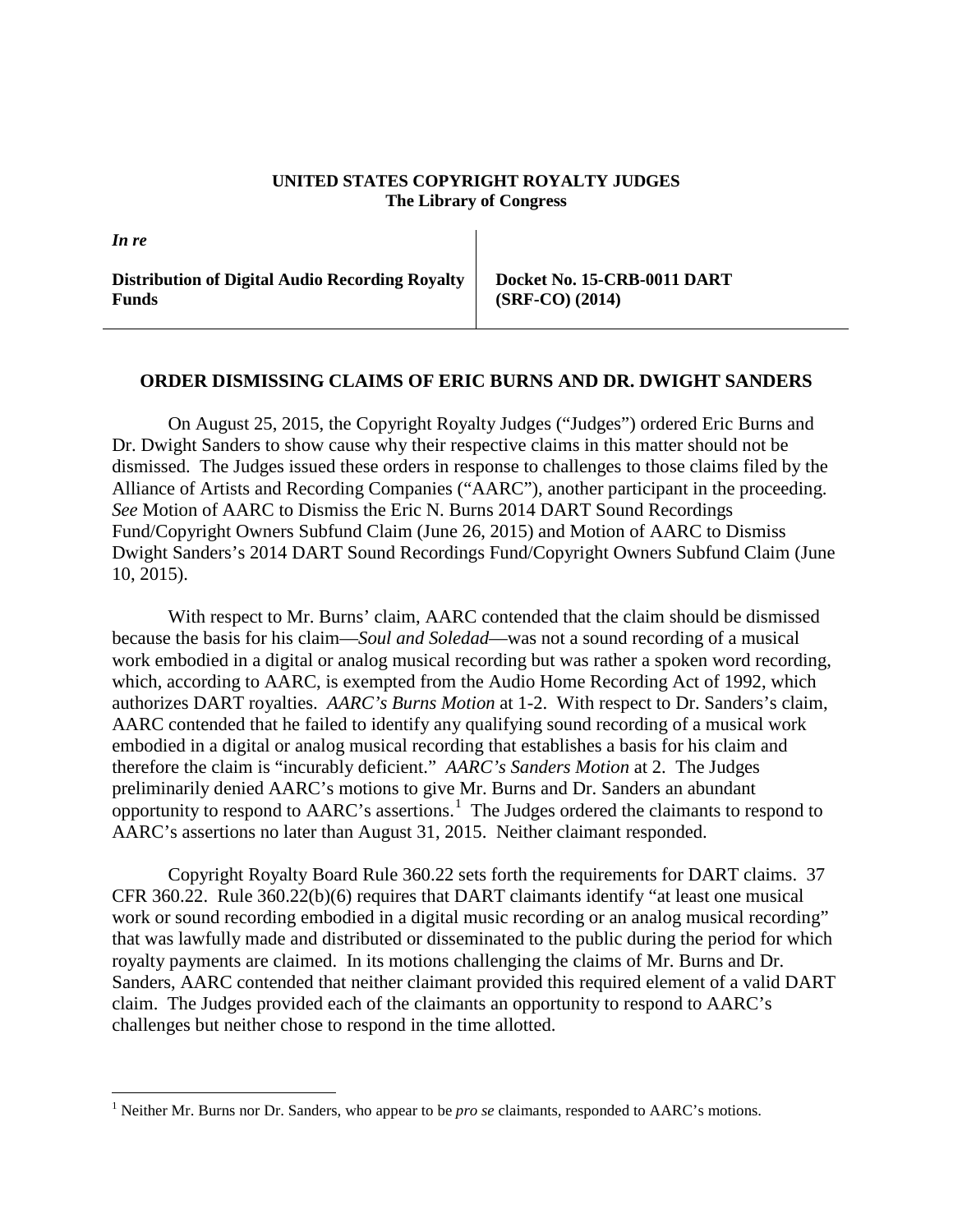## **UNITED STATES COPYRIGHT ROYALTY JUDGES The Library of Congress**

**Distribution of Digital Audio Recording Royalty Funds**

*In re*

 $\overline{a}$ 

**Docket No. 15-CRB-0011 DART (SRF-CO) (2014)**

## **ORDER DISMISSING CLAIMS OF ERIC BURNS AND DR. DWIGHT SANDERS**

On August 25, 2015, the Copyright Royalty Judges ("Judges") ordered Eric Burns and Dr. Dwight Sanders to show cause why their respective claims in this matter should not be dismissed. The Judges issued these orders in response to challenges to those claims filed by the Alliance of Artists and Recording Companies ("AARC"), another participant in the proceeding. *See* Motion of AARC to Dismiss the Eric N. Burns 2014 DART Sound Recordings Fund/Copyright Owners Subfund Claim (June 26, 2015) and Motion of AARC to Dismiss Dwight Sanders's 2014 DART Sound Recordings Fund/Copyright Owners Subfund Claim (June 10, 2015).

With respect to Mr. Burns' claim, AARC contended that the claim should be dismissed because the basis for his claim—*Soul and Soledad*—was not a sound recording of a musical work embodied in a digital or analog musical recording but was rather a spoken word recording, which, according to AARC, is exempted from the Audio Home Recording Act of 1992, which authorizes DART royalties. *AARC's Burns Motion* at 1-2. With respect to Dr. Sanders's claim, AARC contended that he failed to identify any qualifying sound recording of a musical work embodied in a digital or analog musical recording that establishes a basis for his claim and therefore the claim is "incurably deficient." *AARC's Sanders Motion* at 2. The Judges preliminarily denied AARC's motions to give Mr. Burns and Dr. Sanders an abundant opportunity to respond to  $AARC$ 's assertions.<sup>[1](#page-0-0)</sup> The Judges ordered the claimants to respond to AARC's assertions no later than August 31, 2015. Neither claimant responded.

Copyright Royalty Board Rule 360.22 sets forth the requirements for DART claims. 37 CFR 360.22. Rule 360.22(b)(6) requires that DART claimants identify "at least one musical work or sound recording embodied in a digital music recording or an analog musical recording" that was lawfully made and distributed or disseminated to the public during the period for which royalty payments are claimed. In its motions challenging the claims of Mr. Burns and Dr. Sanders, AARC contended that neither claimant provided this required element of a valid DART claim. The Judges provided each of the claimants an opportunity to respond to AARC's challenges but neither chose to respond in the time allotted.

<span id="page-0-0"></span><sup>&</sup>lt;sup>1</sup> Neither Mr. Burns nor Dr. Sanders, who appear to be *pro se* claimants, responded to AARC's motions.